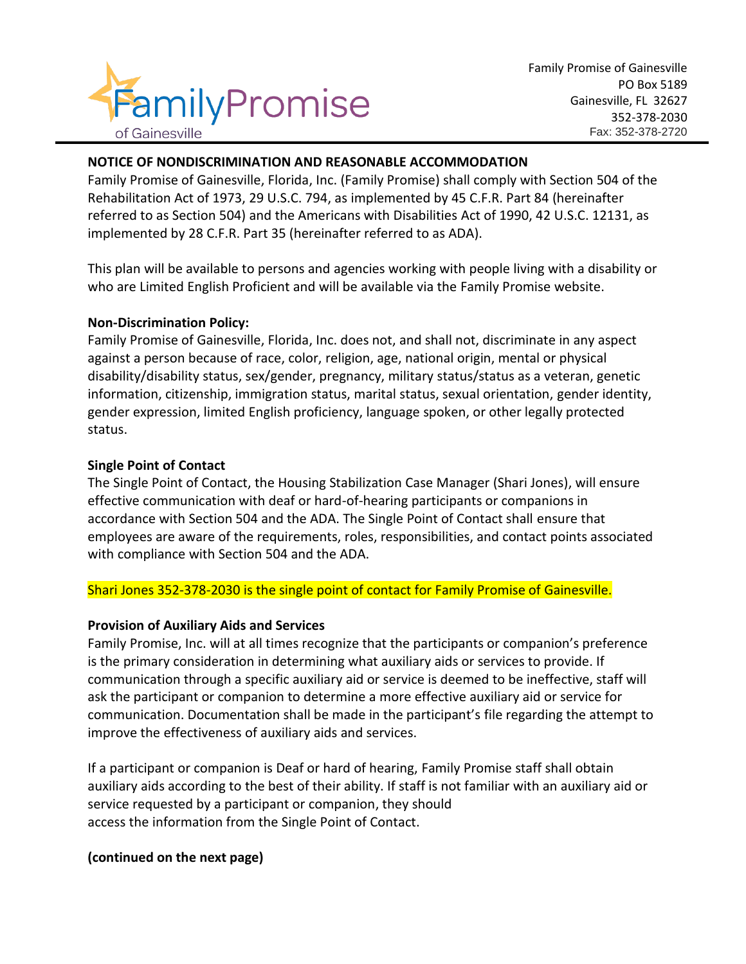

## **NOTICE OF NONDISCRIMINATION AND REASONABLE ACCOMMODATION**

Family Promise of Gainesville, Florida, Inc. (Family Promise) shall comply with Section 504 of the Rehabilitation Act of 1973, 29 U.S.C. 794, as implemented by 45 C.F.R. Part 84 (hereinafter referred to as Section 504) and the Americans with Disabilities Act of 1990, 42 U.S.C. 12131, as implemented by 28 C.F.R. Part 35 (hereinafter referred to as ADA).

This plan will be available to persons and agencies working with people living with a disability or who are Limited English Proficient and will be available via the Family Promise website.

#### **Non-Discrimination Policy:**

Family Promise of Gainesville, Florida, Inc. does not, and shall not, discriminate in any aspect against a person because of race, color, religion, age, national origin, mental or physical disability/disability status, sex/gender, pregnancy, military status/status as a veteran, genetic information, citizenship, immigration status, marital status, sexual orientation, gender identity, gender expression, limited English proficiency, language spoken, or other legally protected status.

#### **Single Point of Contact**

The Single Point of Contact, the Housing Stabilization Case Manager (Shari Jones), will ensure effective communication with deaf or hard-of-hearing participants or companions in accordance with Section 504 and the ADA. The Single Point of Contact shall ensure that employees are aware of the requirements, roles, responsibilities, and contact points associated with compliance with Section 504 and the ADA.

## Shari Jones 352-378-2030 is the single point of contact for Family Promise of Gainesville.

## **Provision of Auxiliary Aids and Services**

Family Promise, Inc. will at all times recognize that the participants or companion's preference is the primary consideration in determining what auxiliary aids or services to provide. If communication through a specific auxiliary aid or service is deemed to be ineffective, staff will ask the participant or companion to determine a more effective auxiliary aid or service for communication. Documentation shall be made in the participant's file regarding the attempt to improve the effectiveness of auxiliary aids and services.

If a participant or companion is Deaf or hard of hearing, Family Promise staff shall obtain auxiliary aids according to the best of their ability. If staff is not familiar with an auxiliary aid or service requested by a participant or companion, they should access the information from the Single Point of Contact.

## **(continued on the next page)**